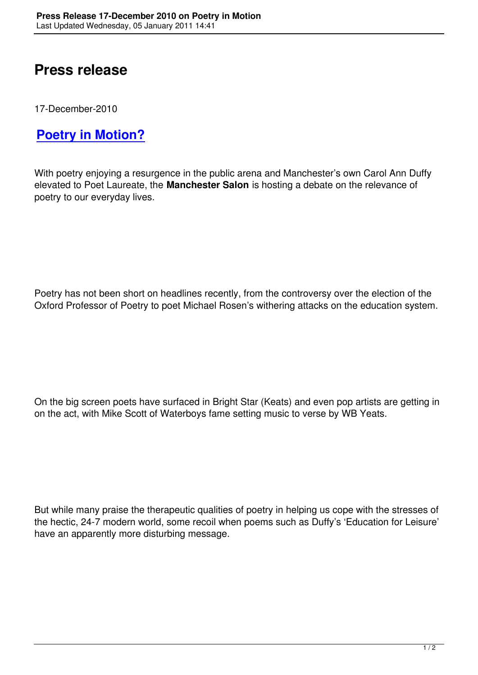## **Press release**

17-December-2010

## **Poetry in Motion?**

[With poetry enjoying a res](press-release-17-dec-2010.html)urgence in the public arena and Manchester's own Carol Ann Duffy elevated to Poet Laureate, the **Manchester Salon** is hosting a debate on the relevance of poetry to our everyday lives.

Poetry has not been short on headlines recently, from the controversy over the election of the Oxford Professor of Poetry to poet Michael Rosen's withering attacks on the education system.

On the big screen poets have surfaced in Bright Star (Keats) and even pop artists are getting in on the act, with Mike Scott of Waterboys fame setting music to verse by WB Yeats.

But while many praise the therapeutic qualities of poetry in helping us cope with the stresses of the hectic, 24-7 modern world, some recoil when poems such as Duffy's 'Education for Leisure' have an apparently more disturbing message.